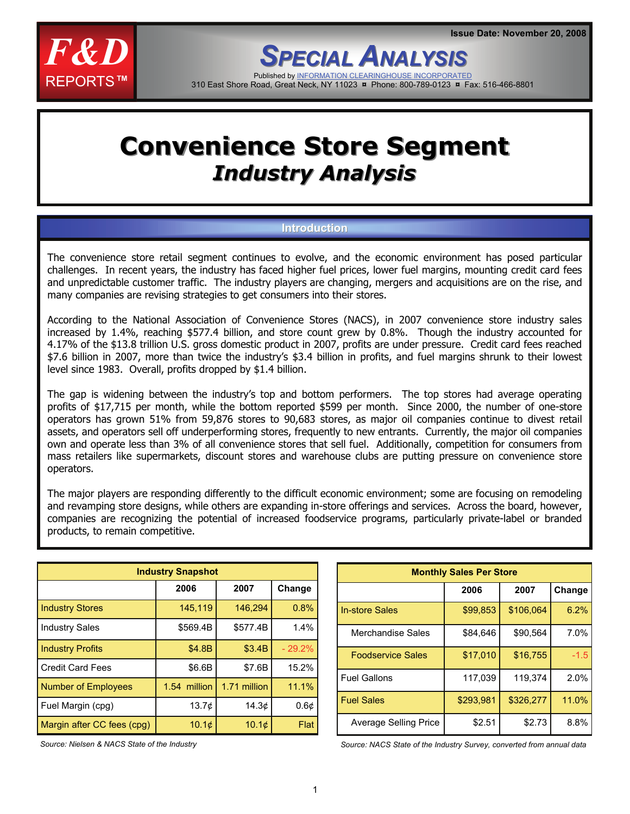

*SPECIAL ANALYSIS NALYSIS* Published by INFORMATION CLEARINGHOUS 310 East Shore Road, Great Neck, NY 11023 **¤** Phone: 800-789-0123 **¤** Fax: 516-466-8801

# **Convenience Store Segment Convenience Store Segment** *Industry Analysis Industry Analysis*

## **Introduction**

The convenience store retail segment continues to evolve, and the economic environment has posed particular challenges. In recent years, the industry has faced higher fuel prices, lower fuel margins, mounting credit card fees and unpredictable customer traffic. The industry players are changing, mergers and acquisitions are on the rise, and many companies are revising strategies to get consumers into their stores.

According to the National Association of Convenience Stores (NACS), in 2007 convenience store industry sales increased by 1.4%, reaching \$577.4 billion, and store count grew by 0.8%. Though the industry accounted for 4.17% of the \$13.8 trillion U.S. gross domestic product in 2007, profits are under pressure. Credit card fees reached \$7.6 billion in 2007, more than twice the industry's \$3.4 billion in profits, and fuel margins shrunk to their lowest level since 1983. Overall, profits dropped by \$1.4 billion.

The gap is widening between the industry's top and bottom performers. The top stores had average operating profits of \$17,715 per month, while the bottom reported \$599 per month. Since 2000, the number of one-store operators has grown 51% from 59,876 stores to 90,683 stores, as major oil companies continue to divest retail assets, and operators sell off underperforming stores, frequently to new entrants. Currently, the major oil companies own and operate less than 3% of all convenience stores that sell fuel. Additionally, competition for consumers from mass retailers like supermarkets, discount stores and warehouse clubs are putting pressure on convenience store operators.

The major players are responding differently to the difficult economic environment; some are focusing on remodeling and revamping store designs, while others are expanding in-store offerings and services. Across the board, however, companies are recognizing the potential of increased foodservice programs, particularly private-label or branded products, to remain competitive.

| <b>Industry Snapshot</b>   |                   |              |           |  |  |
|----------------------------|-------------------|--------------|-----------|--|--|
|                            | 2006              | 2007         | Change    |  |  |
| <b>Industry Stores</b>     | 145,119           | 146,294      | 0.8%      |  |  |
| <b>Industry Sales</b>      | \$569.4B          | \$577.4B     | 1.4%      |  |  |
| <b>Industry Profits</b>    | \$4.8B            | \$3.4B       | $-29.2%$  |  |  |
| <b>Credit Card Fees</b>    | \$6.6B            | \$7.6B       | 15.2%     |  |  |
| Number of Employees        | 1.54 million      | 1.71 million | 11.1%     |  |  |
| Fuel Margin (cpg)          | 13.7 <sub>¢</sub> | 14.3 $\phi$  | $0.6\phi$ |  |  |
| Margin after CC fees (cpg) | $10.1\circ$       | $10.1\circ$  | Flat      |  |  |

| <b>Monthly Sales Per Store</b> |           |           |        |  |  |
|--------------------------------|-----------|-----------|--------|--|--|
|                                | 2006      | 2007      | Change |  |  |
| <b>In-store Sales</b>          | \$99,853  | \$106,064 | 6.2%   |  |  |
| Merchandise Sales              | \$84,646  | \$90,564  | 7.0%   |  |  |
| <b>Foodservice Sales</b>       | \$17.010  | \$16.755  | $-1.5$ |  |  |
| <b>Fuel Gallons</b>            | 117,039   | 119.374   | 2.0%   |  |  |
| <b>Fuel Sales</b>              | \$293,981 | \$326,277 | 11.0%  |  |  |
| Average Selling Price          | \$2.51    | \$2.73    | 8.8%   |  |  |

*Source: Nielsen & NACS State of the Industry* 

*Source: NACS State of the Industry Survey, converted from annual data*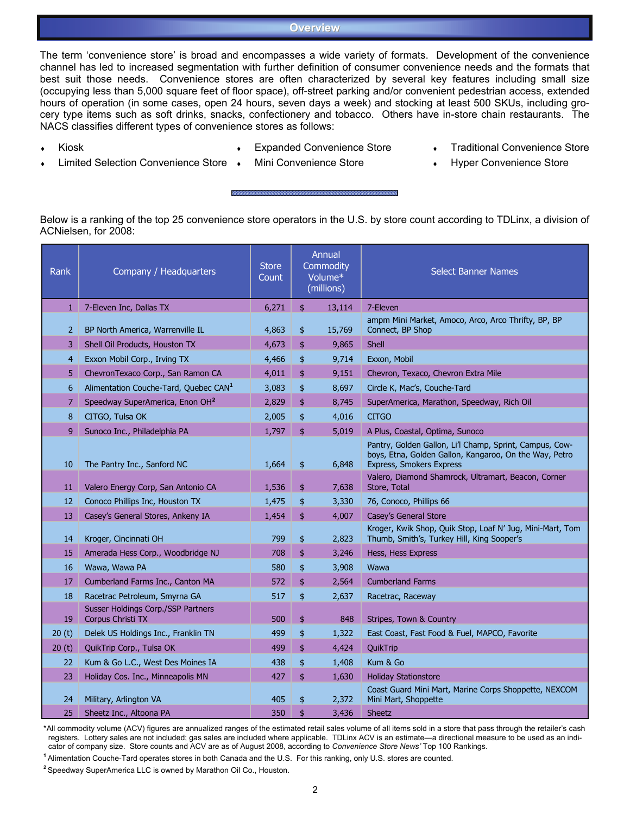#### **Overview**

The term 'convenience store' is broad and encompasses a wide variety of formats. Development of the convenience channel has led to increased segmentation with further definition of consumer convenience needs and the formats that best suit those needs. Convenience stores are often characterized by several key features including small size (occupying less than 5,000 square feet of floor space), off-street parking and/or convenient pedestrian access, extended hours of operation (in some cases, open 24 hours, seven days a week) and stocking at least 500 SKUs, including grocery type items such as soft drinks, snacks, confectionery and tobacco. Others have in-store chain restaurants. The NACS classifies different types of convenience stores as follows:

**Kiosk** 

- ♦ Expanded Convenience Store
- **Traditional Convenience Store**

- **Limited Selection Convenience Store**
- Mini Convenience Store
- **Hyper Convenience Store**

Below is a ranking of the top 25 convenience store operators in the U.S. by store count according to TDLinx, a division of ACNielsen, for 2008:

| <b>Rank</b>    | Company / Headquarters                                  | <b>Store</b><br>Count | Annual<br>Commodity<br>Volume*<br>(millions) |        | <b>Select Banner Names</b>                                                                                                                    |
|----------------|---------------------------------------------------------|-----------------------|----------------------------------------------|--------|-----------------------------------------------------------------------------------------------------------------------------------------------|
| $1 -$          | 7-Eleven Inc, Dallas TX                                 | 6,271                 | \$                                           | 13,114 | 7-Eleven                                                                                                                                      |
| $\overline{2}$ | BP North America, Warrenville IL                        | 4,863                 | \$                                           | 15,769 | ampm Mini Market, Amoco, Arco, Arco Thrifty, BP, BP<br>Connect, BP Shop                                                                       |
| 3              | Shell Oil Products, Houston TX                          | 4,673                 | \$                                           | 9,865  | Shell                                                                                                                                         |
| $\overline{4}$ | Exxon Mobil Corp., Irving TX                            | 4,466                 | \$                                           | 9,714  | Exxon, Mobil                                                                                                                                  |
| 5              | ChevronTexaco Corp., San Ramon CA                       | 4,011                 | \$                                           | 9,151  | Chevron, Texaco, Chevron Extra Mile                                                                                                           |
| 6              | Alimentation Couche-Tard, Quebec CAN <sup>1</sup>       | 3,083                 | \$                                           | 8,697  | Circle K, Mac's, Couche-Tard                                                                                                                  |
| $\overline{7}$ | Speedway SuperAmerica, Enon OH <sup>2</sup>             | 2,829                 | \$                                           | 8,745  | SuperAmerica, Marathon, Speedway, Rich Oil                                                                                                    |
| 8              | CITGO, Tulsa OK                                         | 2,005                 | \$                                           | 4,016  | <b>CITGO</b>                                                                                                                                  |
| 9              | Sunoco Inc., Philadelphia PA                            | 1,797                 | \$                                           | 5,019  | A Plus, Coastal, Optima, Sunoco                                                                                                               |
| 10             | The Pantry Inc., Sanford NC                             | 1,664                 | \$                                           | 6,848  | Pantry, Golden Gallon, Li'l Champ, Sprint, Campus, Cow-<br>boys, Etna, Golden Gallon, Kangaroo, On the Way, Petro<br>Express, Smokers Express |
| 11             | Valero Energy Corp, San Antonio CA                      | 1,536                 | \$                                           | 7,638  | Valero, Diamond Shamrock, Ultramart, Beacon, Corner<br>Store, Total                                                                           |
| 12             | Conoco Phillips Inc, Houston TX                         | 1,475                 | \$                                           | 3,330  | 76, Conoco, Phillips 66                                                                                                                       |
| 13             | Casey's General Stores, Ankeny IA                       | 1,454                 | \$                                           | 4,007  | Casey's General Store                                                                                                                         |
| 14             | Kroger, Cincinnati OH                                   | 799                   | \$                                           | 2,823  | Kroger, Kwik Shop, Quik Stop, Loaf N' Jug, Mini-Mart, Tom<br>Thumb, Smith's, Turkey Hill, King Sooper's                                       |
| 15             | Amerada Hess Corp., Woodbridge NJ                       | 708                   | \$                                           | 3,246  | Hess, Hess Express                                                                                                                            |
| 16             | Wawa, Wawa PA                                           | 580                   | \$                                           | 3,908  | Wawa                                                                                                                                          |
| 17             | Cumberland Farms Inc., Canton MA                        | 572                   | \$                                           | 2,564  | <b>Cumberland Farms</b>                                                                                                                       |
| 18             | Racetrac Petroleum, Smyrna GA                           | 517                   | \$                                           | 2,637  | Racetrac, Raceway                                                                                                                             |
| 19             | Susser Holdings Corp./SSP Partners<br>Corpus Christi TX | 500                   | \$                                           | 848    | Stripes, Town & Country                                                                                                                       |
| 20(t)          | Delek US Holdings Inc., Franklin TN                     | 499                   | \$                                           | 1,322  | East Coast, Fast Food & Fuel, MAPCO, Favorite                                                                                                 |
| 20(t)          | QuikTrip Corp., Tulsa OK                                | 499                   | \$                                           | 4,424  | QuikTrip                                                                                                                                      |
| 22             | Kum & Go L.C., West Des Moines IA                       | 438                   | \$                                           | 1,408  | Kum & Go                                                                                                                                      |
| 23             | Holiday Cos. Inc., Minneapolis MN                       | 427                   | \$                                           | 1,630  | <b>Holiday Stationstore</b>                                                                                                                   |
| 24             | Military, Arlington VA                                  | 405                   | \$                                           | 2,372  | Coast Guard Mini Mart, Marine Corps Shoppette, NEXCOM<br>Mini Mart, Shoppette                                                                 |
| 25             | Sheetz Inc., Altoona PA                                 | 350                   | \$                                           | 3,436  | Sheetz                                                                                                                                        |

\*All commodity volume (ACV) figures are annualized ranges of the estimated retail sales volume of all items sold in a store that pass through the retailer's cash registers. Lottery sales are not included; gas sales are included where applicable. TDLinx ACV is an estimate—a directional measure to be used as an indicator of company size. Store counts and ACV are as of August 2008, according to *Convenience Store News'* Top 100 Rankings.

**<sup>1</sup>**Alimentation Couche-Tard operates stores in both Canada and the U.S. For this ranking, only U.S. stores are counted.

**<sup>2</sup>**Speedway SuperAmerica LLC is owned by Marathon Oil Co., Houston.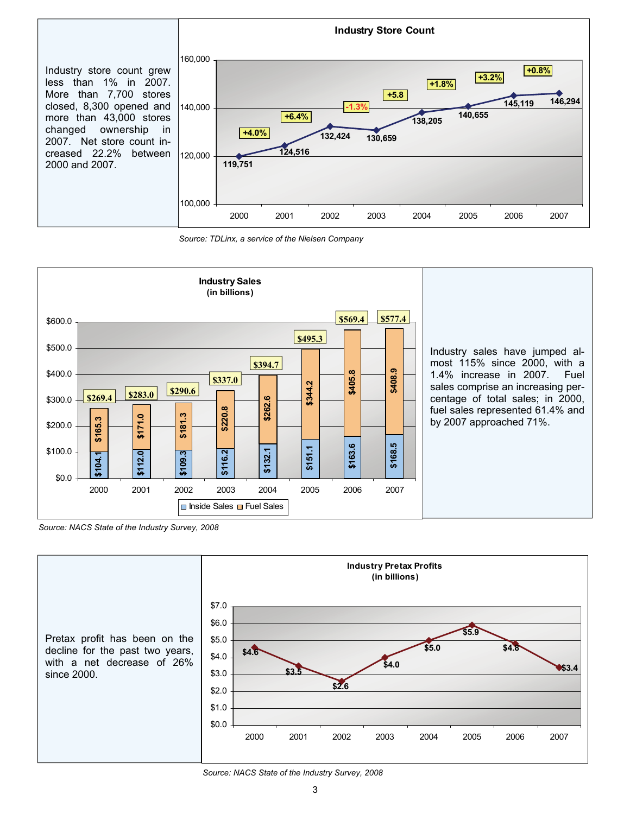

*Source: TDLinx, a service of the Nielsen Company*



*Source: NACS State of the Industry Survey, 2008*



*Source: NACS State of the Industry Survey, 2008*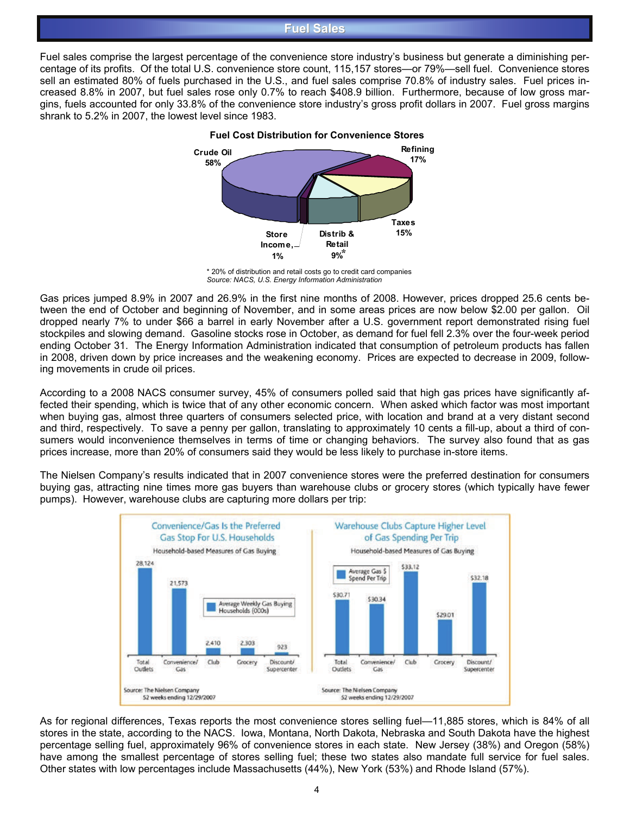## **Fuel Sales Fuel Sales**

Fuel sales comprise the largest percentage of the convenience store industry's business but generate a diminishing percentage of its profits. Of the total U.S. convenience store count, 115,157 stores—or 79%—sell fuel. Convenience stores sell an estimated 80% of fuels purchased in the U.S., and fuel sales comprise 70.8% of industry sales. Fuel prices increased 8.8% in 2007, but fuel sales rose only 0.7% to reach \$408.9 billion. Furthermore, because of low gross margins, fuels accounted for only 33.8% of the convenience store industry's gross profit dollars in 2007. Fuel gross margins shrank to 5.2% in 2007, the lowest level since 1983.



\* 20% of distribution and retail costs go to credit card companies *Source: NACS, U.S. Energy Information Administration* 

Gas prices jumped 8.9% in 2007 and 26.9% in the first nine months of 2008. However, prices dropped 25.6 cents between the end of October and beginning of November, and in some areas prices are now below \$2.00 per gallon. Oil dropped nearly 7% to under \$66 a barrel in early November after a U.S. government report demonstrated rising fuel stockpiles and slowing demand. Gasoline stocks rose in October, as demand for fuel fell 2.3% over the four-week period ending October 31. The Energy Information Administration indicated that consumption of petroleum products has fallen in 2008, driven down by price increases and the weakening economy. Prices are expected to decrease in 2009, following movements in crude oil prices.

According to a 2008 NACS consumer survey, 45% of consumers polled said that high gas prices have significantly affected their spending, which is twice that of any other economic concern. When asked which factor was most important when buying gas, almost three quarters of consumers selected price, with location and brand at a very distant second and third, respectively. To save a penny per gallon, translating to approximately 10 cents a fill-up, about a third of consumers would inconvenience themselves in terms of time or changing behaviors. The survey also found that as gas prices increase, more than 20% of consumers said they would be less likely to purchase in-store items.

The Nielsen Company's results indicated that in 2007 convenience stores were the preferred destination for consumers buying gas, attracting nine times more gas buyers than warehouse clubs or grocery stores (which typically have fewer pumps). However, warehouse clubs are capturing more dollars per trip:



As for regional differences, Texas reports the most convenience stores selling fuel—11,885 stores, which is 84% of all stores in the state, according to the NACS. Iowa, Montana, North Dakota, Nebraska and South Dakota have the highest percentage selling fuel, approximately 96% of convenience stores in each state. New Jersey (38%) and Oregon (58%) have among the smallest percentage of stores selling fuel; these two states also mandate full service for fuel sales. Other states with low percentages include Massachusetts (44%), New York (53%) and Rhode Island (57%).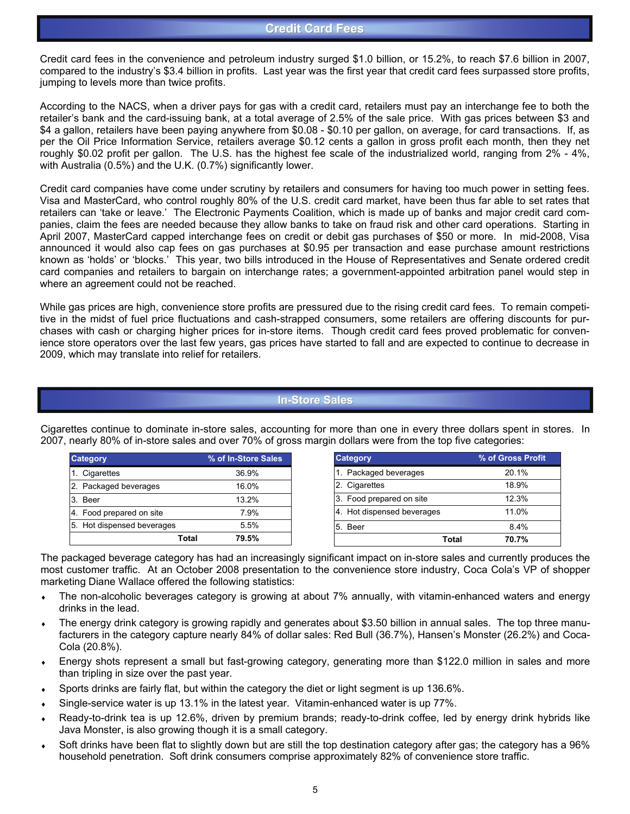Credit card fees in the convenience and petroleum industry surged \$1.0 billion, or 15.2%, to reach \$7.6 billion in 2007, compared to the industry's \$3.4 billion in profits. Last year was the first year that credit card fees surpassed store profits, jumping to levels more than twice profits.

According to the NACS, when a driver pays for gas with a credit card, retailers must pay an interchange fee to both the retailer's bank and the card-issuing bank, at a total average of 2.5% of the sale price. With gas prices between \$3 and \$4 a gallon, retailers have been paying anywhere from \$0.08 - \$0.10 per gallon, on average, for card transactions. If, as per the Oil Price Information Service, retailers average \$0.12 cents a gallon in gross profit each month, then they net roughly \$0.02 profit per gallon. The U.S. has the highest fee scale of the industrialized world, ranging from 2% - 4%, with Australia (0.5%) and the U.K. (0.7%) significantly lower.

Credit card companies have come under scrutiny by retailers and consumers for having too much power in setting fees. Visa and MasterCard, who control roughly 80% of the U.S. credit card market, have been thus far able to set rates that retailers can 'take or leave.' The Electronic Payments Coalition, which is made up of banks and major credit card companies, claim the fees are needed because they allow banks to take on fraud risk and other card operations. Starting in April 2007, MasterCard capped interchange fees on credit or debit gas purchases of \$50 or more. In mid-2008, Visa announced it would also cap fees on gas purchases at \$0.95 per transaction and ease purchase amount restrictions known as 'holds' or 'blocks.' This year, two bills introduced in the House of Representatives and Senate ordered credit card companies and retailers to bargain on interchange rates; a government-appointed arbitration panel would step in where an agreement could not be reached.

While gas prices are high, convenience store profits are pressured due to the rising credit card fees. To remain competitive in the midst of fuel price fluctuations and cash-strapped consumers, some retailers are offering discounts for purchases with cash or charging higher prices for in-store items. Though credit card fees proved problematic for convenience store operators over the last few years, gas prices have started to fall and are expected to continue to decrease in 2009, which may translate into relief for retailers.

#### **In-Store Sales**

| <b>Category</b>                           | % of In-Store Sales |
|-------------------------------------------|---------------------|
| Cigarettes                                | 36.9%               |
| Packaged beverages                        | 16.0%               |
| 3. Beer                                   | 13.2%               |
| Food prepared on site<br>$-4.$            | 7.9%                |
| Hot dispensed beverages<br>5 <sub>1</sub> | 5.5%                |
|                                           | 79.5%<br>Total      |

Cigarettes continue to dominate in-store sales, accounting for more than one in every three dollars spent in stores. In 2007, nearly 80% of in-store sales and over 70% of gross margin dollars were from the top five categories:

The packaged beverage category has had an increasingly significant impact on in-store sales and currently produces the most customer traffic. At an October 2008 presentation to the convenience store industry, Coca Cola's VP of shopper marketing Diane Wallace offered the following statistics:

- The non-alcoholic beverages category is growing at about 7% annually, with vitamin-enhanced waters and energy drinks in the lead.
- The energy drink category is growing rapidly and generates about \$3.50 billion in annual sales. The top three manufacturers in the category capture nearly 84% of dollar sales: Red Bull (36.7%), Hansen's Monster (26.2%) and Coca-Cola (20.8%).
- Energy shots represent a small but fast-growing category, generating more than \$122.0 million in sales and more than tripling in size over the past year.
- Sports drinks are fairly flat, but within the category the diet or light segment is up 136.6%.
- Single-service water is up 13.1% in the latest year. Vitamin-enhanced water is up 77%.
- Ready-to-drink tea is up 12.6%, driven by premium brands; ready-to-drink coffee, led by energy drink hybrids like Java Monster, is also growing though it is a small category.
- Soft drinks have been flat to slightly down but are still the top destination category after gas; the category has a 96% household penetration. Soft drink consumers comprise approximately 82% of convenience store traffic.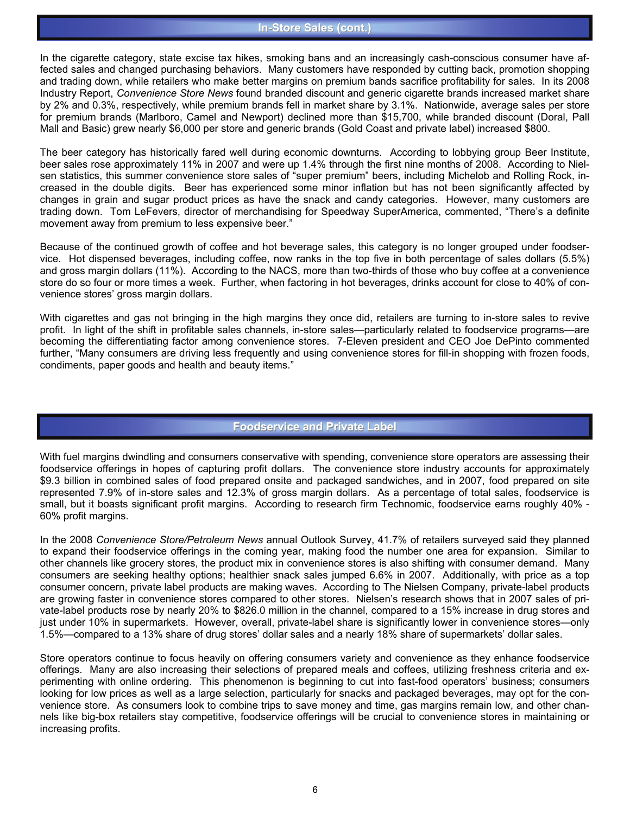#### **In-Store Sales (cont.)**

In the cigarette category, state excise tax hikes, smoking bans and an increasingly cash-conscious consumer have affected sales and changed purchasing behaviors. Many customers have responded by cutting back, promotion shopping and trading down, while retailers who make better margins on premium bands sacrifice profitability for sales. In its 2008 Industry Report, *Convenience Store News* found branded discount and generic cigarette brands increased market share by 2% and 0.3%, respectively, while premium brands fell in market share by 3.1%. Nationwide, average sales per store for premium brands (Marlboro, Camel and Newport) declined more than \$15,700, while branded discount (Doral, Pall Mall and Basic) grew nearly \$6,000 per store and generic brands (Gold Coast and private label) increased \$800.

The beer category has historically fared well during economic downturns. According to lobbying group Beer Institute, beer sales rose approximately 11% in 2007 and were up 1.4% through the first nine months of 2008. According to Nielsen statistics, this summer convenience store sales of "super premium" beers, including Michelob and Rolling Rock, increased in the double digits. Beer has experienced some minor inflation but has not been significantly affected by changes in grain and sugar product prices as have the snack and candy categories. However, many customers are trading down. Tom LeFevers, director of merchandising for Speedway SuperAmerica, commented, "There's a definite movement away from premium to less expensive beer."

Because of the continued growth of coffee and hot beverage sales, this category is no longer grouped under foodservice. Hot dispensed beverages, including coffee, now ranks in the top five in both percentage of sales dollars (5.5%) and gross margin dollars (11%). According to the NACS, more than two-thirds of those who buy coffee at a convenience store do so four or more times a week. Further, when factoring in hot beverages, drinks account for close to 40% of convenience stores' gross margin dollars.

With cigarettes and gas not bringing in the high margins they once did, retailers are turning to in-store sales to revive profit. In light of the shift in profitable sales channels, in-store sales—particularly related to foodservice programs—are becoming the differentiating factor among convenience stores. 7-Eleven president and CEO Joe DePinto commented further, "Many consumers are driving less frequently and using convenience stores for fill-in shopping with frozen foods, condiments, paper goods and health and beauty items."

### **Foodservice and Private Label Foodservice and Private Label**

With fuel margins dwindling and consumers conservative with spending, convenience store operators are assessing their foodservice offerings in hopes of capturing profit dollars. The convenience store industry accounts for approximately \$9.3 billion in combined sales of food prepared onsite and packaged sandwiches, and in 2007, food prepared on site represented 7.9% of in-store sales and 12.3% of gross margin dollars. As a percentage of total sales, foodservice is small, but it boasts significant profit margins. According to research firm Technomic, foodservice earns roughly 40% - 60% profit margins.

In the 2008 *Convenience Store/Petroleum News* annual Outlook Survey, 41.7% of retailers surveyed said they planned to expand their foodservice offerings in the coming year, making food the number one area for expansion. Similar to other channels like grocery stores, the product mix in convenience stores is also shifting with consumer demand. Many consumers are seeking healthy options; healthier snack sales jumped 6.6% in 2007. Additionally, with price as a top consumer concern, private label products are making waves. According to The Nielsen Company, private-label products are growing faster in convenience stores compared to other stores. Nielsen's research shows that in 2007 sales of private-label products rose by nearly 20% to \$826.0 million in the channel, compared to a 15% increase in drug stores and just under 10% in supermarkets. However, overall, private-label share is significantly lower in convenience stores—only 1.5%—compared to a 13% share of drug stores' dollar sales and a nearly 18% share of supermarkets' dollar sales.

Store operators continue to focus heavily on offering consumers variety and convenience as they enhance foodservice offerings. Many are also increasing their selections of prepared meals and coffees, utilizing freshness criteria and experimenting with online ordering. This phenomenon is beginning to cut into fast-food operators' business; consumers looking for low prices as well as a large selection, particularly for snacks and packaged beverages, may opt for the convenience store. As consumers look to combine trips to save money and time, gas margins remain low, and other channels like big-box retailers stay competitive, foodservice offerings will be crucial to convenience stores in maintaining or increasing profits.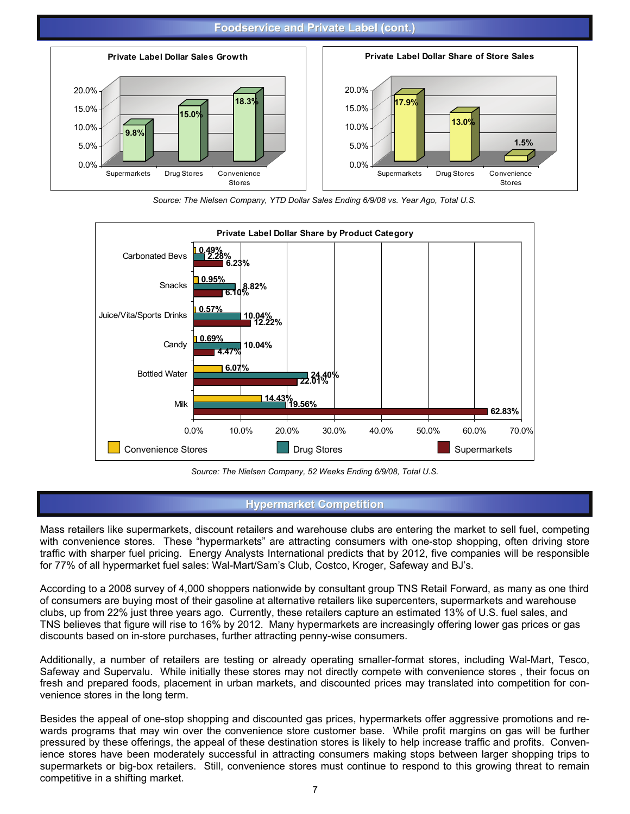#### **Foodservice and Private Label (cont.) Foodservice and Private Label (cont.)**



*Source: The Nielsen Company, YTD Dollar Sales Ending 6/9/08 vs. Year Ago, Total U.S.*



*Source: The Nielsen Company, 52 Weeks Ending 6/9/08, Total U.S.*

### **Hypermarket Competition**

Mass retailers like supermarkets, discount retailers and warehouse clubs are entering the market to sell fuel, competing with convenience stores. These "hypermarkets" are attracting consumers with one-stop shopping, often driving store traffic with sharper fuel pricing. Energy Analysts International predicts that by 2012, five companies will be responsible for 77% of all hypermarket fuel sales: Wal-Mart/Sam's Club, Costco, Kroger, Safeway and BJ's.

According to a 2008 survey of 4,000 shoppers nationwide by consultant group TNS Retail Forward, as many as one third of consumers are buying most of their gasoline at alternative retailers like supercenters, supermarkets and warehouse clubs, up from 22% just three years ago. Currently, these retailers capture an estimated 13% of U.S. fuel sales, and TNS believes that figure will rise to 16% by 2012. Many hypermarkets are increasingly offering lower gas prices or gas discounts based on in-store purchases, further attracting penny-wise consumers.

Additionally, a number of retailers are testing or already operating smaller-format stores, including Wal-Mart, Tesco, Safeway and Supervalu. While initially these stores may not directly compete with convenience stores , their focus on fresh and prepared foods, placement in urban markets, and discounted prices may translated into competition for convenience stores in the long term.

Besides the appeal of one-stop shopping and discounted gas prices, hypermarkets offer aggressive promotions and rewards programs that may win over the convenience store customer base. While profit margins on gas will be further pressured by these offerings, the appeal of these destination stores is likely to help increase traffic and profits. Convenience stores have been moderately successful in attracting consumers making stops between larger shopping trips to supermarkets or big-box retailers. Still, convenience stores must continue to respond to this growing threat to remain competitive in a shifting market.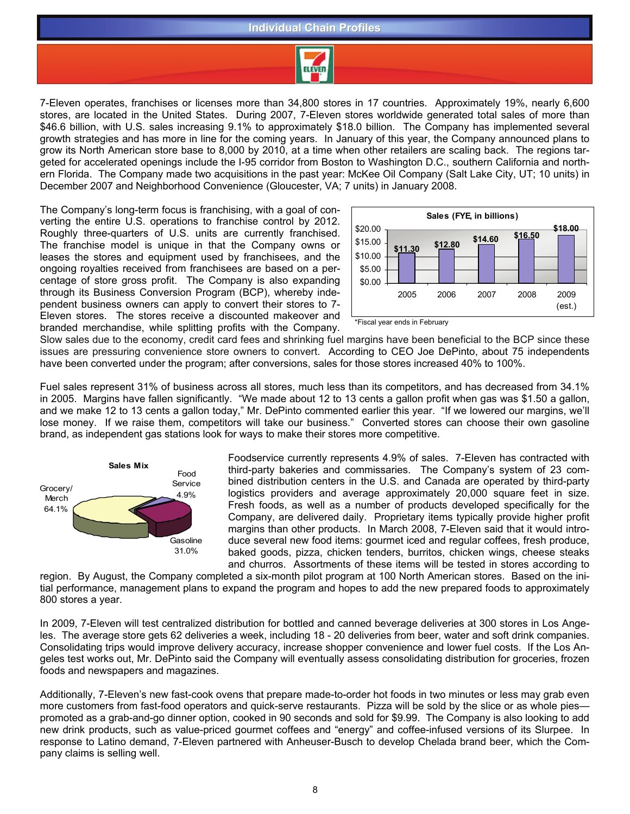#### **Individual Chain Profiles Individual Chain Profiles**



7-Eleven operates, franchises or licenses more than 34,800 stores in 17 countries. Approximately 19%, nearly 6,600 stores, are located in the United States. During 2007, 7-Eleven stores worldwide generated total sales of more than \$46.6 billion, with U.S. sales increasing 9.1% to approximately \$18.0 billion. The Company has implemented several growth strategies and has more in line for the coming years. In January of this year, the Company announced plans to grow its North American store base to 8,000 by 2010, at a time when other retailers are scaling back. The regions targeted for accelerated openings include the I-95 corridor from Boston to Washington D.C., southern California and northern Florida. The Company made two acquisitions in the past year: McKee Oil Company (Salt Lake City, UT; 10 units) in December 2007 and Neighborhood Convenience (Gloucester, VA; 7 units) in January 2008.

The Company's long-term focus is franchising, with a goal of converting the entire U.S. operations to franchise control by 2012. Roughly three-quarters of U.S. units are currently franchised. The franchise model is unique in that the Company owns or leases the stores and equipment used by franchisees, and the ongoing royalties received from franchisees are based on a percentage of store gross profit. The Company is also expanding through its Business Conversion Program (BCP), whereby independent business owners can apply to convert their stores to 7- Eleven stores. The stores receive a discounted makeover and branded merchandise, while splitting profits with the Company.





Slow sales due to the economy, credit card fees and shrinking fuel margins have been beneficial to the BCP since these issues are pressuring convenience store owners to convert. According to CEO Joe DePinto, about 75 independents have been converted under the program; after conversions, sales for those stores increased 40% to 100%.

Fuel sales represent 31% of business across all stores, much less than its competitors, and has decreased from 34.1% in 2005. Margins have fallen significantly. "We made about 12 to 13 cents a gallon profit when gas was \$1.50 a gallon, and we make 12 to 13 cents a gallon today," Mr. DePinto commented earlier this year. "If we lowered our margins, we'll lose money. If we raise them, competitors will take our business." Converted stores can choose their own gasoline brand, as independent gas stations look for ways to make their stores more competitive.



Foodservice currently represents 4.9% of sales. 7-Eleven has contracted with third-party bakeries and commissaries. The Company's system of 23 combined distribution centers in the U.S. and Canada are operated by third-party logistics providers and average approximately 20,000 square feet in size. Fresh foods, as well as a number of products developed specifically for the Company, are delivered daily. Proprietary items typically provide higher profit margins than other products. In March 2008, 7-Eleven said that it would introduce several new food items: gourmet iced and regular coffees, fresh produce, baked goods, pizza, chicken tenders, burritos, chicken wings, cheese steaks and churros. Assortments of these items will be tested in stores according to

region. By August, the Company completed a six-month pilot program at 100 North American stores. Based on the initial performance, management plans to expand the program and hopes to add the new prepared foods to approximately 800 stores a year.

In 2009, 7-Eleven will test centralized distribution for bottled and canned beverage deliveries at 300 stores in Los Angeles. The average store gets 62 deliveries a week, including 18 - 20 deliveries from beer, water and soft drink companies. Consolidating trips would improve delivery accuracy, increase shopper convenience and lower fuel costs. If the Los Angeles test works out, Mr. DePinto said the Company will eventually assess consolidating distribution for groceries, frozen foods and newspapers and magazines.

Additionally, 7-Eleven's new fast-cook ovens that prepare made-to-order hot foods in two minutes or less may grab even more customers from fast-food operators and quick-serve restaurants. Pizza will be sold by the slice or as whole pies promoted as a grab-and-go dinner option, cooked in 90 seconds and sold for \$9.99. The Company is also looking to add new drink products, such as value-priced gourmet coffees and "energy" and coffee-infused versions of its Slurpee. In response to Latino demand, 7-Eleven partnered with Anheuser-Busch to develop Chelada brand beer, which the Company claims is selling well.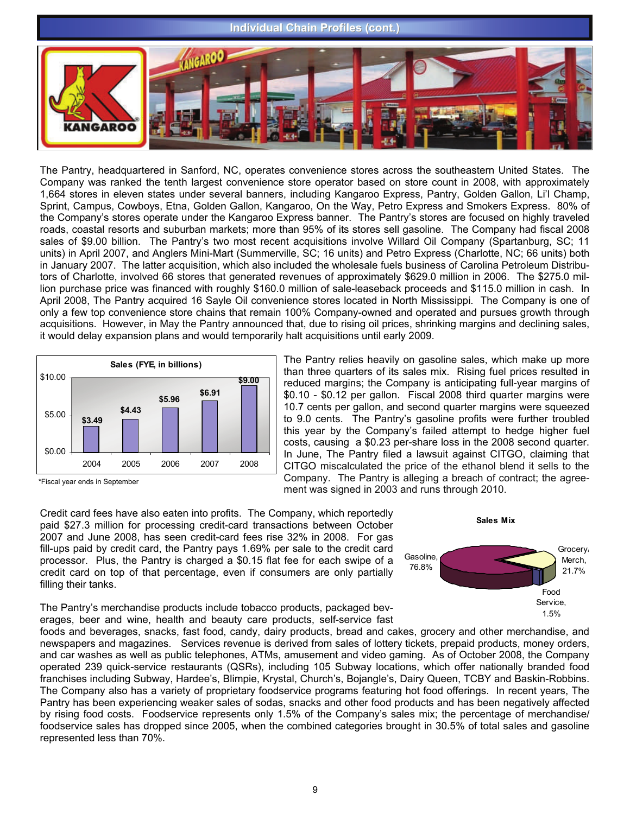# **Individual Chain Profiles (cont.) WGAROO GAROO**

The Pantry, headquartered in Sanford, NC, operates convenience stores across the southeastern United States. The Company was ranked the tenth largest convenience store operator based on store count in 2008, with approximately 1,664 stores in eleven states under several banners, including Kangaroo Express, Pantry, Golden Gallon, Li'l Champ, Sprint, Campus, Cowboys, Etna, Golden Gallon, Kangaroo, On the Way, Petro Express and Smokers Express. 80% of the Company's stores operate under the Kangaroo Express banner. The Pantry's stores are focused on highly traveled roads, coastal resorts and suburban markets; more than 95% of its stores sell gasoline. The Company had fiscal 2008 sales of \$9.00 billion. The Pantry's two most recent acquisitions involve Willard Oil Company (Spartanburg, SC; 11 units) in April 2007, and Anglers Mini-Mart (Summerville, SC; 16 units) and Petro Express (Charlotte, NC; 66 units) both in January 2007. The latter acquisition, which also included the wholesale fuels business of Carolina Petroleum Distributors of Charlotte, involved 66 stores that generated revenues of approximately \$629.0 million in 2006. The \$275.0 million purchase price was financed with roughly \$160.0 million of sale-leaseback proceeds and \$115.0 million in cash. In April 2008, The Pantry acquired 16 Sayle Oil convenience stores located in North Mississippi. The Company is one of only a few top convenience store chains that remain 100% Company-owned and operated and pursues growth through acquisitions. However, in May the Pantry announced that, due to rising oil prices, shrinking margins and declining sales, it would delay expansion plans and would temporarily halt acquisitions until early 2009.





The Pantry relies heavily on gasoline sales, which make up more than three quarters of its sales mix. Rising fuel prices resulted in reduced margins; the Company is anticipating full-year margins of \$0.10 - \$0.12 per gallon. Fiscal 2008 third quarter margins were 10.7 cents per gallon, and second quarter margins were squeezed to 9.0 cents. The Pantry's gasoline profits were further troubled this year by the Company's failed attempt to hedge higher fuel costs, causing a \$0.23 per-share loss in the 2008 second quarter. In June, The Pantry filed a lawsuit against CITGO, claiming that CITGO miscalculated the price of the ethanol blend it sells to the Company. The Pantry is alleging a breach of contract; the agreement was signed in 2003 and runs through 2010.

Credit card fees have also eaten into profits. The Company, which reportedly paid \$27.3 million for processing credit-card transactions between October 2007 and June 2008, has seen credit-card fees rise 32% in 2008. For gas fill-ups paid by credit card, the Pantry pays 1.69% per sale to the credit card processor. Plus, the Pantry is charged a \$0.15 flat fee for each swipe of a credit card on top of that percentage, even if consumers are only partially filling their tanks.



The Pantry's merchandise products include tobacco products, packaged beverages, beer and wine, health and beauty care products, self-service fast

foods and beverages, snacks, fast food, candy, dairy products, bread and cakes, grocery and other merchandise, and newspapers and magazines. Services revenue is derived from sales of lottery tickets, prepaid products, money orders, and car washes as well as public telephones, ATMs, amusement and video gaming. As of October 2008, the Company operated 239 quick-service restaurants (QSRs), including 105 Subway locations, which offer nationally branded food franchises including Subway, Hardee's, Blimpie, Krystal, Church's, Bojangle's, Dairy Queen, TCBY and Baskin-Robbins. The Company also has a variety of proprietary foodservice programs featuring hot food offerings. In recent years, The Pantry has been experiencing weaker sales of sodas, snacks and other food products and has been negatively affected by rising food costs. Foodservice represents only 1.5% of the Company's sales mix; the percentage of merchandise/ foodservice sales has dropped since 2005, when the combined categories brought in 30.5% of total sales and gasoline represented less than 70%.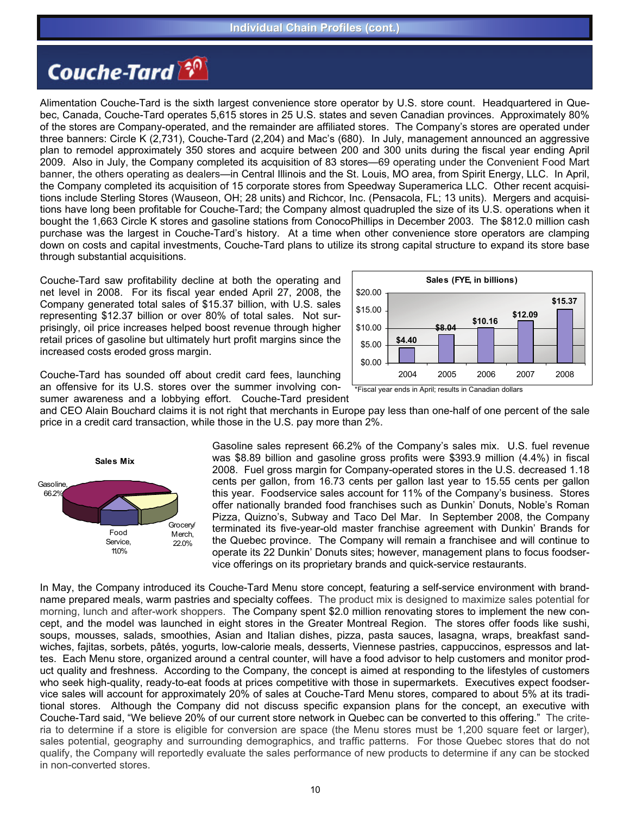# **Couche-Tard**

Alimentation Couche-Tard is the sixth largest convenience store operator by U.S. store count. Headquartered in Quebec, Canada, Couche-Tard operates 5,615 stores in 25 U.S. states and seven Canadian provinces. Approximately 80% of the stores are Company-operated, and the remainder are affiliated stores. The Company's stores are operated under three banners: Circle K (2,731), Couche-Tard (2,204) and Mac's (680). In July, management announced an aggressive plan to remodel approximately 350 stores and acquire between 200 and 300 units during the fiscal year ending April 2009. Also in July, the Company completed its acquisition of 83 stores—69 operating under the Convenient Food Mart banner, the others operating as dealers—in Central Illinois and the St. Louis, MO area, from Spirit Energy, LLC. In April, the Company completed its acquisition of 15 corporate stores from Speedway Superamerica LLC. Other recent acquisitions include Sterling Stores (Wauseon, OH; 28 units) and Richcor, Inc. (Pensacola, FL; 13 units). Mergers and acquisitions have long been profitable for Couche-Tard; the Company almost quadrupled the size of its U.S. operations when it bought the 1,663 Circle K stores and gasoline stations from ConocoPhillips in December 2003. The \$812.0 million cash purchase was the largest in Couche-Tard's history. At a time when other convenience store operators are clamping down on costs and capital investments, Couche-Tard plans to utilize its strong capital structure to expand its store base through substantial acquisitions.

Couche-Tard saw profitability decline at both the operating and net level in 2008. For its fiscal year ended April 27, 2008, the Company generated total sales of \$15.37 billion, with U.S. sales representing \$12.37 billion or over 80% of total sales. Not surprisingly, oil price increases helped boost revenue through higher retail prices of gasoline but ultimately hurt profit margins since the increased costs eroded gross margin.



Couche-Tard has sounded off about credit card fees, launching an offensive for its U.S. stores over the summer involving consumer awareness and a lobbying effort. Couche-Tard president

and CEO Alain Bouchard claims it is not right that merchants in Europe pay less than one-half of one percent of the sale price in a credit card transaction, while those in the U.S. pay more than 2%.



Gasoline sales represent 66.2% of the Company's sales mix. U.S. fuel revenue was \$8.89 billion and gasoline gross profits were \$393.9 million (4.4%) in fiscal 2008. Fuel gross margin for Company-operated stores in the U.S. decreased 1.18 cents per gallon, from 16.73 cents per gallon last year to 15.55 cents per gallon this year. Foodservice sales account for 11% of the Company's business. Stores offer nationally branded food franchises such as Dunkin' Donuts, Noble's Roman Pizza, Quizno's, Subway and Taco Del Mar. In September 2008, the Company terminated its five-year-old master franchise agreement with Dunkin' Brands for the Quebec province. The Company will remain a franchisee and will continue to operate its 22 Dunkin' Donuts sites; however, management plans to focus foodservice offerings on its proprietary brands and quick-service restaurants.

In May, the Company introduced its Couche-Tard Menu store concept, featuring a self-service environment with brandname prepared meals, warm pastries and specialty coffees. The product mix is designed to maximize sales potential for morning, lunch and after-work shoppers. The Company spent \$2.0 million renovating stores to implement the new concept, and the model was launched in eight stores in the Greater Montreal Region. The stores offer foods like sushi, soups, mousses, salads, smoothies, Asian and Italian dishes, pizza, pasta sauces, lasagna, wraps, breakfast sandwiches, fajitas, sorbets, pâtés, yogurts, low-calorie meals, desserts, Viennese pastries, cappuccinos, espressos and lattes. Each Menu store, organized around a central counter, will have a food advisor to help customers and monitor product quality and freshness. According to the Company, the concept is aimed at responding to the lifestyles of customers who seek high-quality, ready-to-eat foods at prices competitive with those in supermarkets. Executives expect foodservice sales will account for approximately 20% of sales at Couche-Tard Menu stores, compared to about 5% at its traditional stores. Although the Company did not discuss specific expansion plans for the concept, an executive with Couche-Tard said, "We believe 20% of our current store network in Quebec can be converted to this offering." The criteria to determine if a store is eligible for conversion are space (the Menu stores must be 1,200 square feet or larger), sales potential, geography and surrounding demographics, and traffic patterns. For those Quebec stores that do not qualify, the Company will reportedly evaluate the sales performance of new products to determine if any can be stocked in non-converted stores.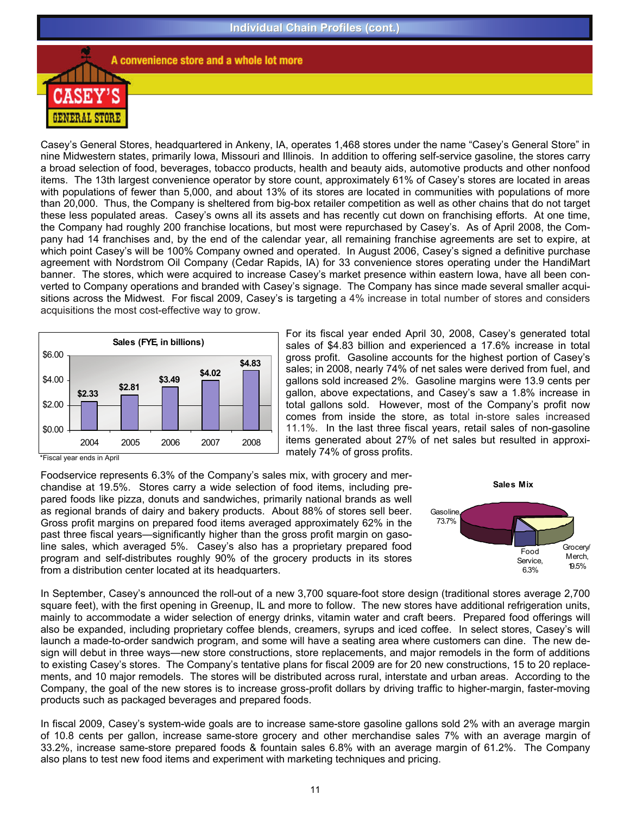

A convenience store and a whole lot more

Casey's General Stores, headquartered in Ankeny, IA, operates 1,468 stores under the name "Casey's General Store" in nine Midwestern states, primarily Iowa, Missouri and Illinois. In addition to offering self-service gasoline, the stores carry a broad selection of food, beverages, tobacco products, health and beauty aids, automotive products and other nonfood items. The 13th largest convenience operator by store count, approximately 61% of Casey's stores are located in areas with populations of fewer than 5,000, and about 13% of its stores are located in communities with populations of more than 20,000. Thus, the Company is sheltered from big-box retailer competition as well as other chains that do not target these less populated areas. Casey's owns all its assets and has recently cut down on franchising efforts. At one time, the Company had roughly 200 franchise locations, but most were repurchased by Casey's. As of April 2008, the Company had 14 franchises and, by the end of the calendar year, all remaining franchise agreements are set to expire, at which point Casey's will be 100% Company owned and operated. In August 2006, Casey's signed a definitive purchase agreement with Nordstrom Oil Company (Cedar Rapids, IA) for 33 convenience stores operating under the HandiMart banner. The stores, which were acquired to increase Casey's market presence within eastern Iowa, have all been converted to Company operations and branded with Casey's signage. The Company has since made several smaller acquisitions across the Midwest. For fiscal 2009, Casey's is targeting a 4% increase in total number of stores and considers acquisitions the most cost-effective way to grow.



For its fiscal year ended April 30, 2008, Casey's generated total sales of \$4.83 billion and experienced a 17.6% increase in total gross profit. Gasoline accounts for the highest portion of Casey's sales; in 2008, nearly 74% of net sales were derived from fuel, and gallons sold increased 2%. Gasoline margins were 13.9 cents per gallon, above expectations, and Casey's saw a 1.8% increase in total gallons sold. However, most of the Company's profit now comes from inside the store, as total in-store sales increased 11.1%. In the last three fiscal years, retail sales of non-gasoline items generated about 27% of net sales but resulted in approximately 74% of gross profits.

\*Fiscal year ends in April

Foodservice represents 6.3% of the Company's sales mix, with grocery and merchandise at 19.5%. Stores carry a wide selection of food items, including prepared foods like pizza, donuts and sandwiches, primarily national brands as well as regional brands of dairy and bakery products. About 88% of stores sell beer. Gross profit margins on prepared food items averaged approximately 62% in the past three fiscal years—significantly higher than the gross profit margin on gasoline sales, which averaged 5%. Casey's also has a proprietary prepared food program and self-distributes roughly 90% of the grocery products in its stores from a distribution center located at its headquarters.



In September, Casey's announced the roll-out of a new 3,700 square-foot store design (traditional stores average 2,700 square feet), with the first opening in Greenup, IL and more to follow. The new stores have additional refrigeration units, mainly to accommodate a wider selection of energy drinks, vitamin water and craft beers. Prepared food offerings will also be expanded, including proprietary coffee blends, creamers, syrups and iced coffee. In select stores, Casey's will launch a made-to-order sandwich program, and some will have a seating area where customers can dine. The new design will debut in three ways—new store constructions, store replacements, and major remodels in the form of additions to existing Casey's stores. The Company's tentative plans for fiscal 2009 are for 20 new constructions, 15 to 20 replacements, and 10 major remodels. The stores will be distributed across rural, interstate and urban areas. According to the Company, the goal of the new stores is to increase gross-profit dollars by driving traffic to higher-margin, faster-moving products such as packaged beverages and prepared foods.

In fiscal 2009, Casey's system-wide goals are to increase same-store gasoline gallons sold 2% with an average margin of 10.8 cents per gallon, increase same-store grocery and other merchandise sales 7% with an average margin of 33.2%, increase same-store prepared foods & fountain sales 6.8% with an average margin of 61.2%. The Company also plans to test new food items and experiment with marketing techniques and pricing.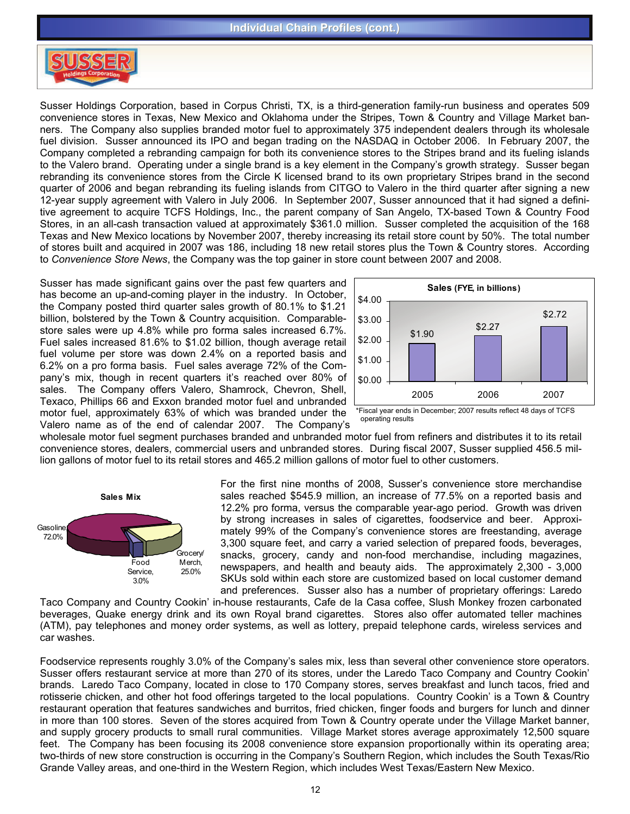

Susser Holdings Corporation, based in Corpus Christi, TX, is a third-generation family-run business and operates 509 convenience stores in Texas, New Mexico and Oklahoma under the Stripes, Town & Country and Village Market banners. The Company also supplies branded motor fuel to approximately 375 independent dealers through its wholesale fuel division. Susser announced its IPO and began trading on the NASDAQ in October 2006. In February 2007, the Company completed a rebranding campaign for both its convenience stores to the Stripes brand and its fueling islands to the Valero brand. Operating under a single brand is a key element in the Company's growth strategy. Susser began rebranding its convenience stores from the Circle K licensed brand to its own proprietary Stripes brand in the second quarter of 2006 and began rebranding its fueling islands from CITGO to Valero in the third quarter after signing a new 12-year supply agreement with Valero in July 2006. In September 2007, Susser announced that it had signed a definitive agreement to acquire TCFS Holdings, Inc., the parent company of San Angelo, TX-based Town & Country Food Stores, in an all-cash transaction valued at approximately \$361.0 million. Susser completed the acquisition of the 168 Texas and New Mexico locations by November 2007, thereby increasing its retail store count by 50%. The total number of stores built and acquired in 2007 was 186, including 18 new retail stores plus the Town & Country stores. According to *Convenience Store News*, the Company was the top gainer in store count between 2007 and 2008.

Susser has made significant gains over the past few quarters and has become an up-and-coming player in the industry. In October, the Company posted third quarter sales growth of 80.1% to \$1.21 billion, bolstered by the Town & Country acquisition. Comparablestore sales were up 4.8% while pro forma sales increased 6.7%. Fuel sales increased 81.6% to \$1.02 billion, though average retail fuel volume per store was down 2.4% on a reported basis and 6.2% on a pro forma basis. Fuel sales average 72% of the Company's mix, though in recent quarters it's reached over 80% of sales. The Company offers Valero, Shamrock, Chevron, Shell, Texaco, Phillips 66 and Exxon branded motor fuel and unbranded motor fuel, approximately 63% of which was branded under the Valero name as of the end of calendar 2007. The Company's



\*Fiscal year ends in December; 2007 results reflect 48 days of TCFS operating results

wholesale motor fuel segment purchases branded and unbranded motor fuel from refiners and distributes it to its retail convenience stores, dealers, commercial users and unbranded stores. During fiscal 2007, Susser supplied 456.5 million gallons of motor fuel to its retail stores and 465.2 million gallons of motor fuel to other customers.



For the first nine months of 2008, Susser's convenience store merchandise sales reached \$545.9 million, an increase of 77.5% on a reported basis and 12.2% pro forma, versus the comparable year-ago period. Growth was driven by strong increases in sales of cigarettes, foodservice and beer. Approximately 99% of the Company's convenience stores are freestanding, average 3,300 square feet, and carry a varied selection of prepared foods, beverages, snacks, grocery, candy and non-food merchandise, including magazines, newspapers, and health and beauty aids. The approximately 2,300 - 3,000 SKUs sold within each store are customized based on local customer demand and preferences. Susser also has a number of proprietary offerings: Laredo

Taco Company and Country Cookin' in-house restaurants, Cafe de la Casa coffee, Slush Monkey frozen carbonated beverages, Quake energy drink and its own Royal brand cigarettes. Stores also offer automated teller machines (ATM), pay telephones and money order systems, as well as lottery, prepaid telephone cards, wireless services and car washes.

Foodservice represents roughly 3.0% of the Company's sales mix, less than several other convenience store operators. Susser offers restaurant service at more than 270 of its stores, under the Laredo Taco Company and Country Cookin' brands. Laredo Taco Company, located in close to 170 Company stores, serves breakfast and lunch tacos, fried and rotisserie chicken, and other hot food offerings targeted to the local populations. Country Cookin' is a Town & Country restaurant operation that features sandwiches and burritos, fried chicken, finger foods and burgers for lunch and dinner in more than 100 stores. Seven of the stores acquired from Town & Country operate under the Village Market banner, and supply grocery products to small rural communities. Village Market stores average approximately 12,500 square feet. The Company has been focusing its 2008 convenience store expansion proportionally within its operating area; two-thirds of new store construction is occurring in the Company's Southern Region, which includes the South Texas/Rio Grande Valley areas, and one-third in the Western Region, which includes West Texas/Eastern New Mexico.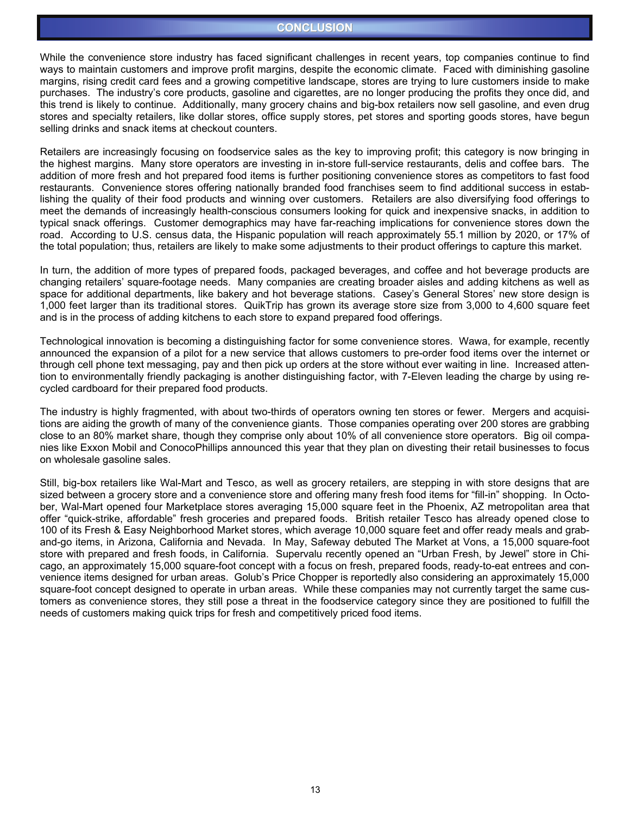#### **CONCLUSION**

While the convenience store industry has faced significant challenges in recent years, top companies continue to find ways to maintain customers and improve profit margins, despite the economic climate. Faced with diminishing gasoline margins, rising credit card fees and a growing competitive landscape, stores are trying to lure customers inside to make purchases. The industry's core products, gasoline and cigarettes, are no longer producing the profits they once did, and this trend is likely to continue. Additionally, many grocery chains and big-box retailers now sell gasoline, and even drug stores and specialty retailers, like dollar stores, office supply stores, pet stores and sporting goods stores, have begun selling drinks and snack items at checkout counters.

Retailers are increasingly focusing on foodservice sales as the key to improving profit; this category is now bringing in the highest margins. Many store operators are investing in in-store full-service restaurants, delis and coffee bars. The addition of more fresh and hot prepared food items is further positioning convenience stores as competitors to fast food restaurants. Convenience stores offering nationally branded food franchises seem to find additional success in establishing the quality of their food products and winning over customers. Retailers are also diversifying food offerings to meet the demands of increasingly health-conscious consumers looking for quick and inexpensive snacks, in addition to typical snack offerings. Customer demographics may have far-reaching implications for convenience stores down the road. According to U.S. census data, the Hispanic population will reach approximately 55.1 million by 2020, or 17% of the total population; thus, retailers are likely to make some adjustments to their product offerings to capture this market.

In turn, the addition of more types of prepared foods, packaged beverages, and coffee and hot beverage products are changing retailers' square-footage needs. Many companies are creating broader aisles and adding kitchens as well as space for additional departments, like bakery and hot beverage stations. Casey's General Stores' new store design is 1,000 feet larger than its traditional stores. QuikTrip has grown its average store size from 3,000 to 4,600 square feet and is in the process of adding kitchens to each store to expand prepared food offerings.

Technological innovation is becoming a distinguishing factor for some convenience stores. Wawa, for example, recently announced the expansion of a pilot for a new service that allows customers to pre-order food items over the internet or through cell phone text messaging, pay and then pick up orders at the store without ever waiting in line. Increased attention to environmentally friendly packaging is another distinguishing factor, with 7-Eleven leading the charge by using recycled cardboard for their prepared food products.

The industry is highly fragmented, with about two-thirds of operators owning ten stores or fewer. Mergers and acquisitions are aiding the growth of many of the convenience giants. Those companies operating over 200 stores are grabbing close to an 80% market share, though they comprise only about 10% of all convenience store operators. Big oil companies like Exxon Mobil and ConocoPhillips announced this year that they plan on divesting their retail businesses to focus on wholesale gasoline sales.

Still, big-box retailers like Wal-Mart and Tesco, as well as grocery retailers, are stepping in with store designs that are sized between a grocery store and a convenience store and offering many fresh food items for "fill-in" shopping. In October, Wal-Mart opened four Marketplace stores averaging 15,000 square feet in the Phoenix, AZ metropolitan area that offer "quick-strike, affordable" fresh groceries and prepared foods. British retailer Tesco has already opened close to 100 of its Fresh & Easy Neighborhood Market stores, which average 10,000 square feet and offer ready meals and graband-go items, in Arizona, California and Nevada. In May, Safeway debuted The Market at Vons, a 15,000 square-foot store with prepared and fresh foods, in California. Supervalu recently opened an "Urban Fresh, by Jewel" store in Chicago, an approximately 15,000 square-foot concept with a focus on fresh, prepared foods, ready-to-eat entrees and convenience items designed for urban areas. Golub's Price Chopper is reportedly also considering an approximately 15,000 square-foot concept designed to operate in urban areas. While these companies may not currently target the same customers as convenience stores, they still pose a threat in the foodservice category since they are positioned to fulfill the needs of customers making quick trips for fresh and competitively priced food items.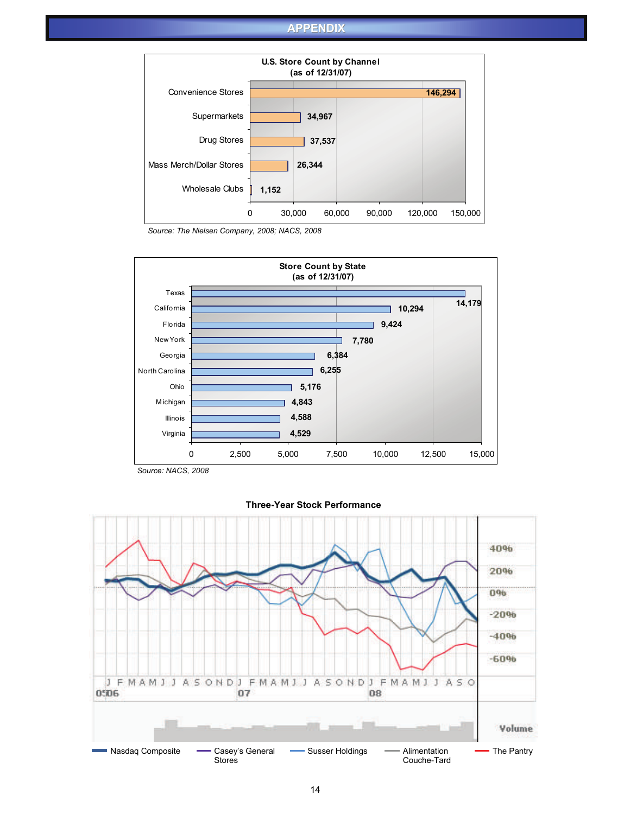#### **APPENDIX**



*Source: The Nielsen Company, 2008; NACS, 2008*



*Source: NACS, 2008*



#### **Three-Year Stock Performance**